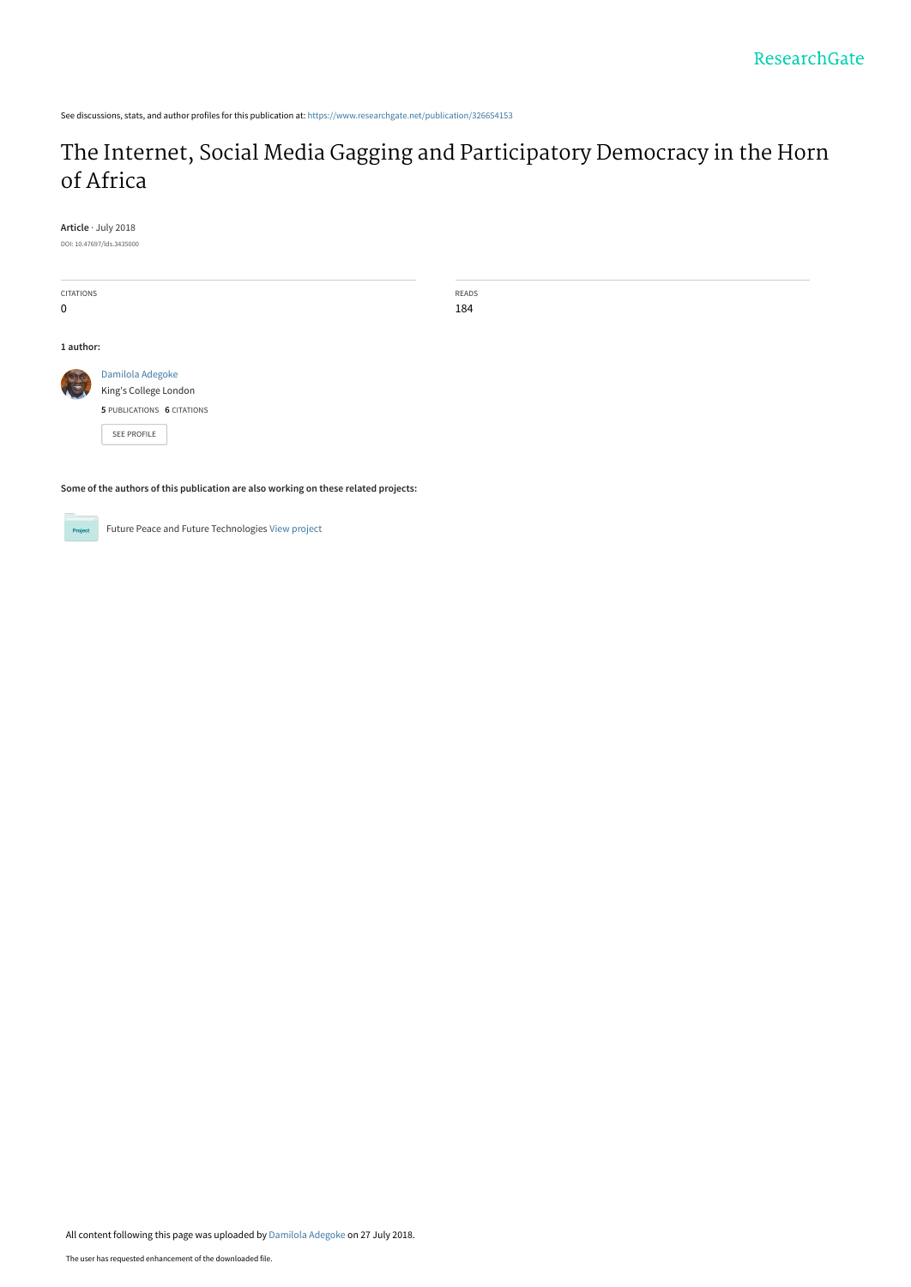See discussions, stats, and author profiles for this publication at: [https://www.researchgate.net/publication/326654153](https://www.researchgate.net/publication/326654153_The_Internet_Social_Media_Gagging_and_Participatory_Democracy_in_the_Horn_of_Africa?enrichId=rgreq-0c51f9fee1facbdd3216414bdce57e14-XXX&enrichSource=Y292ZXJQYWdlOzMyNjY1NDE1MztBUzo2NTI5ODQzNzk3OTc1MDZAMTUzMjY5NTAxNjkyMw%3D%3D&el=1_x_2&_esc=publicationCoverPdf)

# [The Internet, Social Media Gagging and Participatory Democracy in the Horn](https://www.researchgate.net/publication/326654153_The_Internet_Social_Media_Gagging_and_Participatory_Democracy_in_the_Horn_of_Africa?enrichId=rgreq-0c51f9fee1facbdd3216414bdce57e14-XXX&enrichSource=Y292ZXJQYWdlOzMyNjY1NDE1MztBUzo2NTI5ODQzNzk3OTc1MDZAMTUzMjY5NTAxNjkyMw%3D%3D&el=1_x_3&_esc=publicationCoverPdf) of Africa

**Article** · July 2018

DOI: 10.47697/lds.3435000

| CITATIONS                                                                                                       | READS                      |  |
|-----------------------------------------------------------------------------------------------------------------|----------------------------|--|
| 0                                                                                                               | 184                        |  |
|                                                                                                                 |                            |  |
| 1 author:                                                                                                       |                            |  |
| C                                                                                                               | Damilola Adegoke           |  |
|                                                                                                                 | King's College London      |  |
|                                                                                                                 | 5 PUBLICATIONS 6 CITATIONS |  |
|                                                                                                                 | <b>SEE PROFILE</b>         |  |
|                                                                                                                 |                            |  |
|                                                                                                                 |                            |  |
| A concellation continuous distribution in Recent concellation consideration and securities of concellation of c |                            |  |

**Some of the authors of this publication are also working on these related projects:**



Future Peace and Future Technologies [View project](https://www.researchgate.net/project/Future-Peace-and-Future-Technologies?enrichId=rgreq-0c51f9fee1facbdd3216414bdce57e14-XXX&enrichSource=Y292ZXJQYWdlOzMyNjY1NDE1MztBUzo2NTI5ODQzNzk3OTc1MDZAMTUzMjY5NTAxNjkyMw%3D%3D&el=1_x_9&_esc=publicationCoverPdf)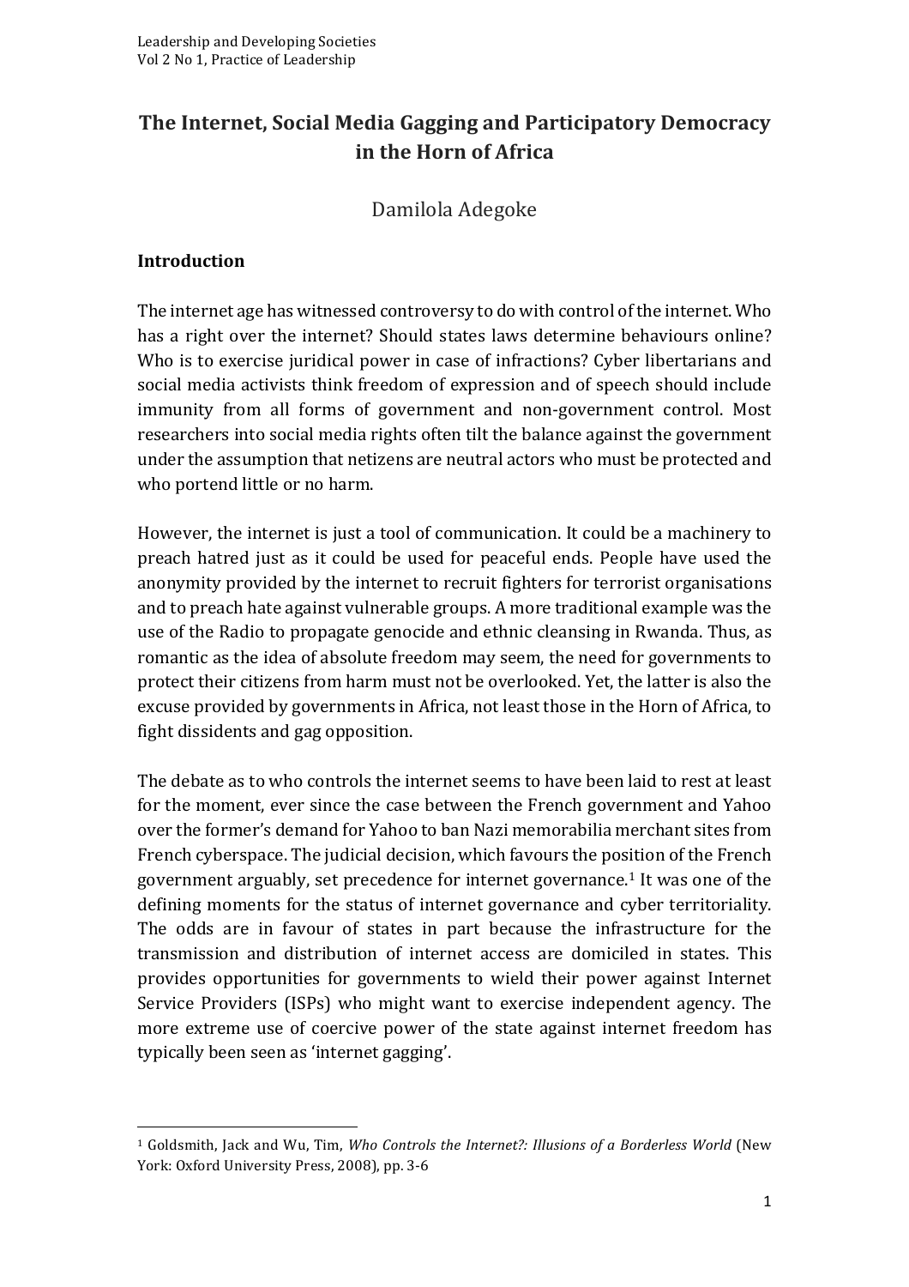## **The Internet, Social Media Gagging and Participatory Democracy in the Horn of Africa**

Damilola Adegoke 

#### **Introduction**

The internet age has witnessed controversy to do with control of the internet. Who has a right over the internet? Should states laws determine behaviours online? Who is to exercise juridical power in case of infractions? Cyber libertarians and social media activists think freedom of expression and of speech should include immunity from all forms of government and non-government control. Most researchers into social media rights often tilt the balance against the government under the assumption that netizens are neutral actors who must be protected and who portend little or no harm.

However, the internet is just a tool of communication. It could be a machinery to preach hatred just as it could be used for peaceful ends. People have used the anonymity provided by the internet to recruit fighters for terrorist organisations and to preach hate against vulnerable groups. A more traditional example was the use of the Radio to propagate genocide and ethnic cleansing in Rwanda. Thus, as romantic as the idea of absolute freedom may seem, the need for governments to protect their citizens from harm must not be overlooked. Yet, the latter is also the excuse provided by governments in Africa, not least those in the Horn of Africa, to fight dissidents and gag opposition.

The debate as to who controls the internet seems to have been laid to rest at least for the moment, ever since the case between the French government and Yahoo over the former's demand for Yahoo to ban Nazi memorabilia merchant sites from French cyberspace. The judicial decision, which favours the position of the French government arguably, set precedence for internet governance.<sup>1</sup> It was one of the defining moments for the status of internet governance and cyber territoriality. The odds are in favour of states in part because the infrastructure for the transmission and distribution of internet access are domiciled in states. This provides opportunities for governments to wield their power against Internet Service Providers (ISPs) who might want to exercise independent agency. The more extreme use of coercive power of the state against internet freedom has typically been seen as 'internet gagging'.

<u> 1989 - Johann Barn, mars ann an t-Amhain an t-Amhain an t-Amhain an t-Amhain an t-Amhain an t-Amhain an t-Amh</u>

<sup>&</sup>lt;sup>1</sup> Goldsmith, Jack and Wu, Tim, *Who Controls the Internet?: Illusions of a Borderless World* (New York: Oxford University Press, 2008), pp. 3-6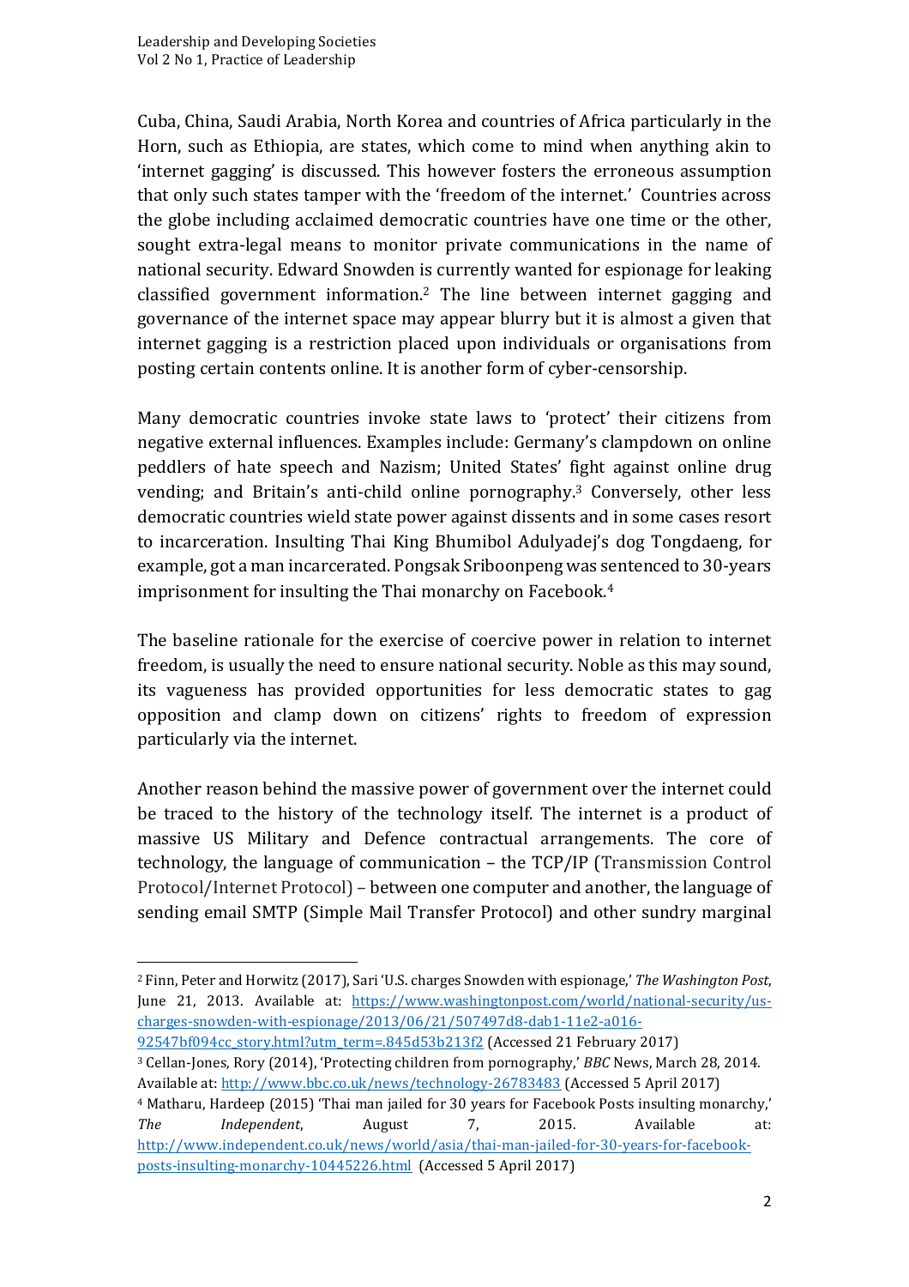Cuba, China, Saudi Arabia, North Korea and countries of Africa particularly in the Horn, such as Ethiopia, are states, which come to mind when anything akin to 'internet gagging' is discussed. This however fosters the erroneous assumption that only such states tamper with the 'freedom of the internet.' Countries across the globe including acclaimed democratic countries have one time or the other, sought extra-legal means to monitor private communications in the name of national security. Edward Snowden is currently wanted for espionage for leaking classified government information.<sup>2</sup> The line between internet gagging and governance of the internet space may appear blurry but it is almost a given that internet gagging is a restriction placed upon individuals or organisations from posting certain contents online. It is another form of cyber-censorship.

Many democratic countries invoke state laws to 'protect' their citizens from negative external influences. Examples include: Germany's clampdown on online peddlers of hate speech and Nazism; United States' fight against online drug vending; and Britain's anti-child online pornography.<sup>3</sup> Conversely, other less democratic countries wield state power against dissents and in some cases resort to incarceration. Insulting Thai King Bhumibol Adulyadej's dog Tongdaeng, for example, got a man incarcerated. Pongsak Sriboonpeng was sentenced to 30-years imprisonment for insulting the Thai monarchy on Facebook. $4$ 

The baseline rationale for the exercise of coercive power in relation to internet freedom, is usually the need to ensure national security. Noble as this may sound, its vagueness has provided opportunities for less democratic states to gag opposition and clamp down on citizens' rights to freedom of expression particularly via the internet.

Another reason behind the massive power of government over the internet could be traced to the history of the technology itself. The internet is a product of massive US Military and Defence contractual arrangements. The core of technology, the language of communication  $-$  the  $TCP/IP$  (Transmission Control Protocol/Internet Protocol) – between one computer and another, the language of sending email SMTP (Simple Mail Transfer Protocol) and other sundry marginal

92547bf094cc\_story.html?utm\_term=.845d53b213f2 (Accessed 21 February 2017) <sup>3</sup> Cellan-Jones, Rory (2014), 'Protecting children from pornography,' *BBC* News, March 28, 2014. Available at: http://www.bbc.co.uk/news/technology-26783483 (Accessed 5 April 2017)

<sup>&</sup>lt;sup>2</sup> Finn, Peter and Horwitz (2017), Sari 'U.S. charges Snowden with espionage,' *The Washington Post*, June 21, 2013. Available at: https://www.washingtonpost.com/world/national-security/uscharges-snowden-with-espionage/2013/06/21/507497d8-dab1-11e2-a016-

<sup>&</sup>lt;sup>4</sup> Matharu, Hardeep (2015) 'Thai man jailed for 30 years for Facebook Posts insulting monarchy,' *The Independent*, August 7, 2015. Available at: http://www.independent.co.uk/news/world/asia/thai-man-jailed-for-30-years-for-facebookposts-insulting-monarchy-10445226.html (Accessed 5 April 2017)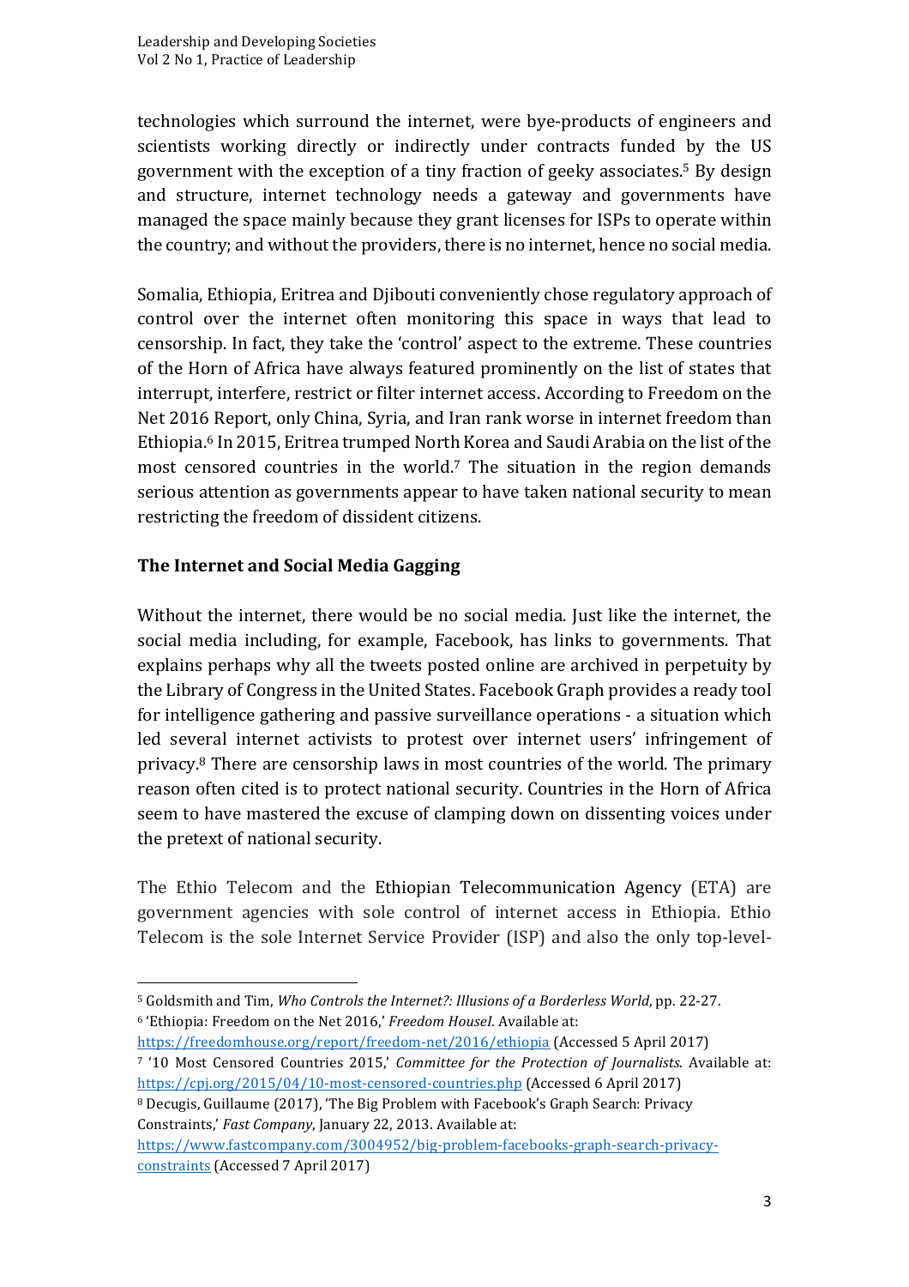technologies which surround the internet, were bye-products of engineers and scientists working directly or indirectly under contracts funded by the US government with the exception of a tiny fraction of geeky associates.<sup>5</sup> By design and structure, internet technology needs a gateway and governments have managed the space mainly because they grant licenses for ISPs to operate within the country; and without the providers, there is no internet, hence no social media.

Somalia, Ethiopia, Eritrea and Djibouti conveniently chose regulatory approach of control over the internet often monitoring this space in ways that lead to censorship. In fact, they take the 'control' aspect to the extreme. These countries of the Horn of Africa have always featured prominently on the list of states that interrupt, interfere, restrict or filter internet access. According to Freedom on the Net 2016 Report, only China, Syria, and Iran rank worse in internet freedom than Ethiopia.<sup>6</sup> In 2015, Eritrea trumped North Korea and Saudi Arabia on the list of the most censored countries in the world.<sup>7</sup> The situation in the region demands serious attention as governments appear to have taken national security to mean restricting the freedom of dissident citizens.

#### **The Internet and Social Media Gagging**

<u> 1989 - Johann Barn, mars eta bainar eta industrial eta baina eta baina eta baina eta baina eta baina eta bain</u>

Without the internet, there would be no social media. Just like the internet, the social media including, for example, Facebook, has links to governments. That explains perhaps why all the tweets posted online are archived in perpetuity by the Library of Congress in the United States. Facebook Graph provides a ready tool for intelligence gathering and passive surveillance operations - a situation which led several internet activists to protest over internet users' infringement of privacy. $8$  There are censorship laws in most countries of the world. The primary reason often cited is to protect national security. Countries in the Horn of Africa seem to have mastered the excuse of clamping down on dissenting voices under the pretext of national security.

The Ethio Telecom and the Ethiopian Telecommunication Agency (ETA) are government agencies with sole control of internet access in Ethiopia. Ethio Telecom is the sole Internet Service Provider (ISP) and also the only top-level-

https://freedomhouse.org/report/freedom-net/2016/ethiopia (Accessed 5 April 2017)

<sup>&</sup>lt;sup>5</sup> Goldsmith and Tim, *Who Controls the Internet?: Illusions of a Borderless World*, pp. 22-27. <sup>6</sup> 'Ethiopia: Freedom on the Net 2016,' *Freedom Housel*. Available at:

<sup>7 &#</sup>x27;10 Most Censored Countries 2015,' *Committee for the Protection of Journalists*. Available at: https://cpj.org/2015/04/10-most-censored-countries.php (Accessed 6 April 2017)

<sup>8</sup> Decugis, Guillaume (2017), 'The Big Problem with Facebook's Graph Search: Privacy Constraints,' Fast Company, January 22, 2013. Available at:

https://www.fastcompany.com/3004952/big-problem-facebooks-graph-search-privacyconstraints (Accessed 7 April 2017)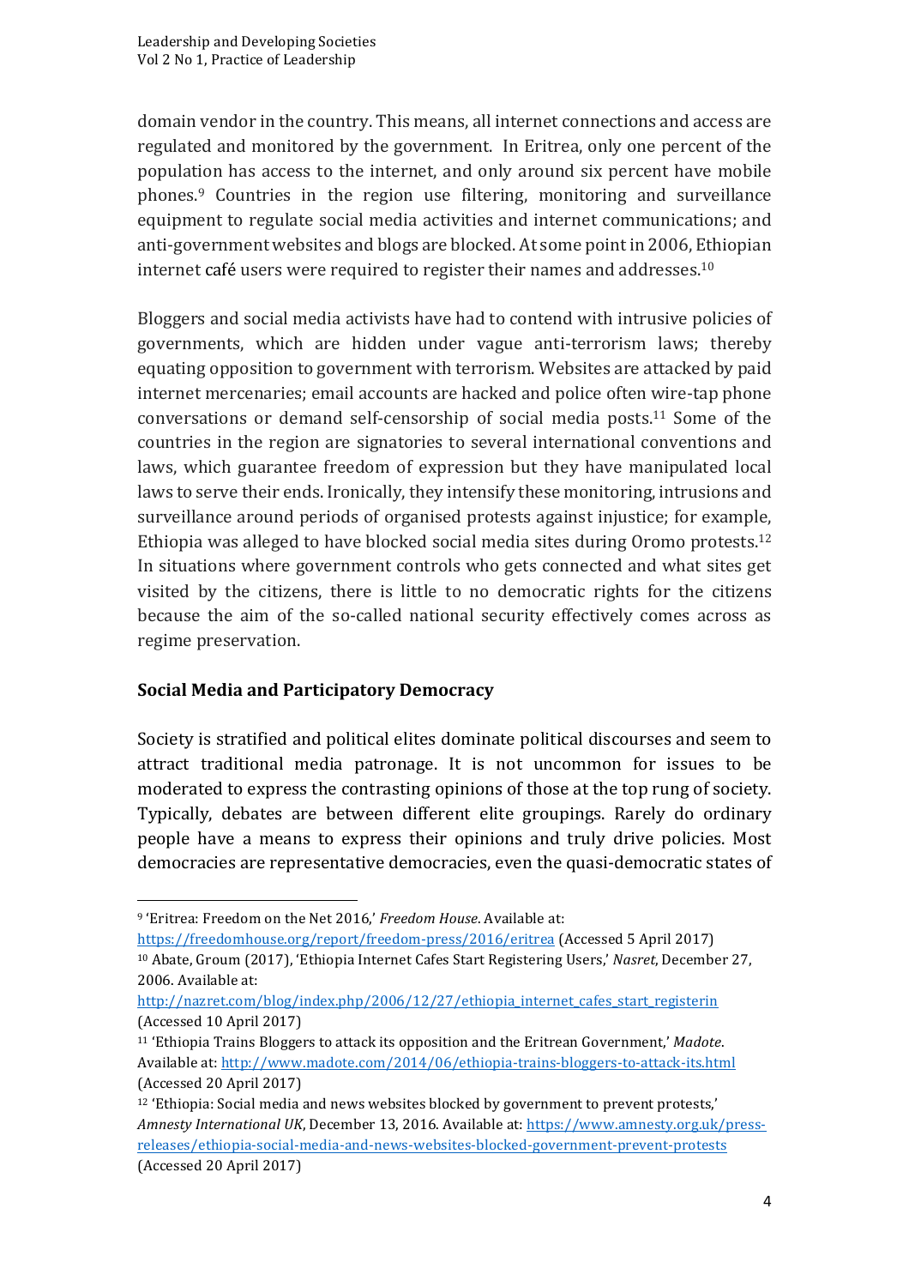domain vendor in the country. This means, all internet connections and access are regulated and monitored by the government. In Eritrea, only one percent of the population has access to the internet, and only around six percent have mobile  $phones.<sup>9</sup>$  Countries in the region use filtering, monitoring and surveillance equipment to regulate social media activities and internet communications; and anti-government websites and blogs are blocked. At some point in 2006, Ethiopian internet café users were required to register their names and addresses.<sup>10</sup>

Bloggers and social media activists have had to contend with intrusive policies of governments, which are hidden under vague anti-terrorism laws; thereby equating opposition to government with terrorism. Websites are attacked by paid internet mercenaries; email accounts are hacked and police often wire-tap phone conversations or demand self-censorship of social media posts.<sup>11</sup> Some of the countries in the region are signatories to several international conventions and laws, which guarantee freedom of expression but they have manipulated local laws to serve their ends. Ironically, they intensify these monitoring, intrusions and surveillance around periods of organised protests against injustice; for example, Ethiopia was alleged to have blocked social media sites during Oromo protests.<sup>12</sup> In situations where government controls who gets connected and what sites get visited by the citizens, there is little to no democratic rights for the citizens because the aim of the so-called national security effectively comes across as regime preservation.

#### **Social Media and Participatory Democracy**

Society is stratified and political elites dominate political discourses and seem to attract traditional media patronage. It is not uncommon for issues to be moderated to express the contrasting opinions of those at the top rung of society. Typically, debates are between different elite groupings. Rarely do ordinary people have a means to express their opinions and truly drive policies. Most democracies are representative democracies, even the quasi-democratic states of

<u> 1989 - Johann Barn, mars ann an t-Amhain an t-Amhain an t-Amhain an t-Amhain an t-Amhain an t-Amhain an t-Amh</u>

<sup>&</sup>lt;sup>9</sup> 'Eritrea: Freedom on the Net 2016,' *Freedom House*. Available at:

https://freedomhouse.org/report/freedom-press/2016/eritrea (Accessed 5 April 2017) <sup>10</sup> Abate, Groum (2017), 'Ethiopia Internet Cafes Start Registering Users,' *Nasret*, December 27, 2006. Available at:

http://nazret.com/blog/index.php/2006/12/27/ethiopia\_internet\_cafes\_start\_registerin (Accessed 10 April 2017)

<sup>&</sup>lt;sup>11</sup> 'Ethiopia Trains Bloggers to attack its opposition and the Eritrean Government,' Madote. Available at: http://www.madote.com/2014/06/ethiopia-trains-bloggers-to-attack-its.html (Accessed 20 April 2017)

<sup>&</sup>lt;sup>12</sup> 'Ethiopia: Social media and news websites blocked by government to prevent protests,' *Amnesty International UK*, December 13, 2016. Available at: https://www.amnesty.org.uk/pressreleases/ethiopia-social-media-and-news-websites-blocked-government-prevent-protests (Accessed 20 April 2017)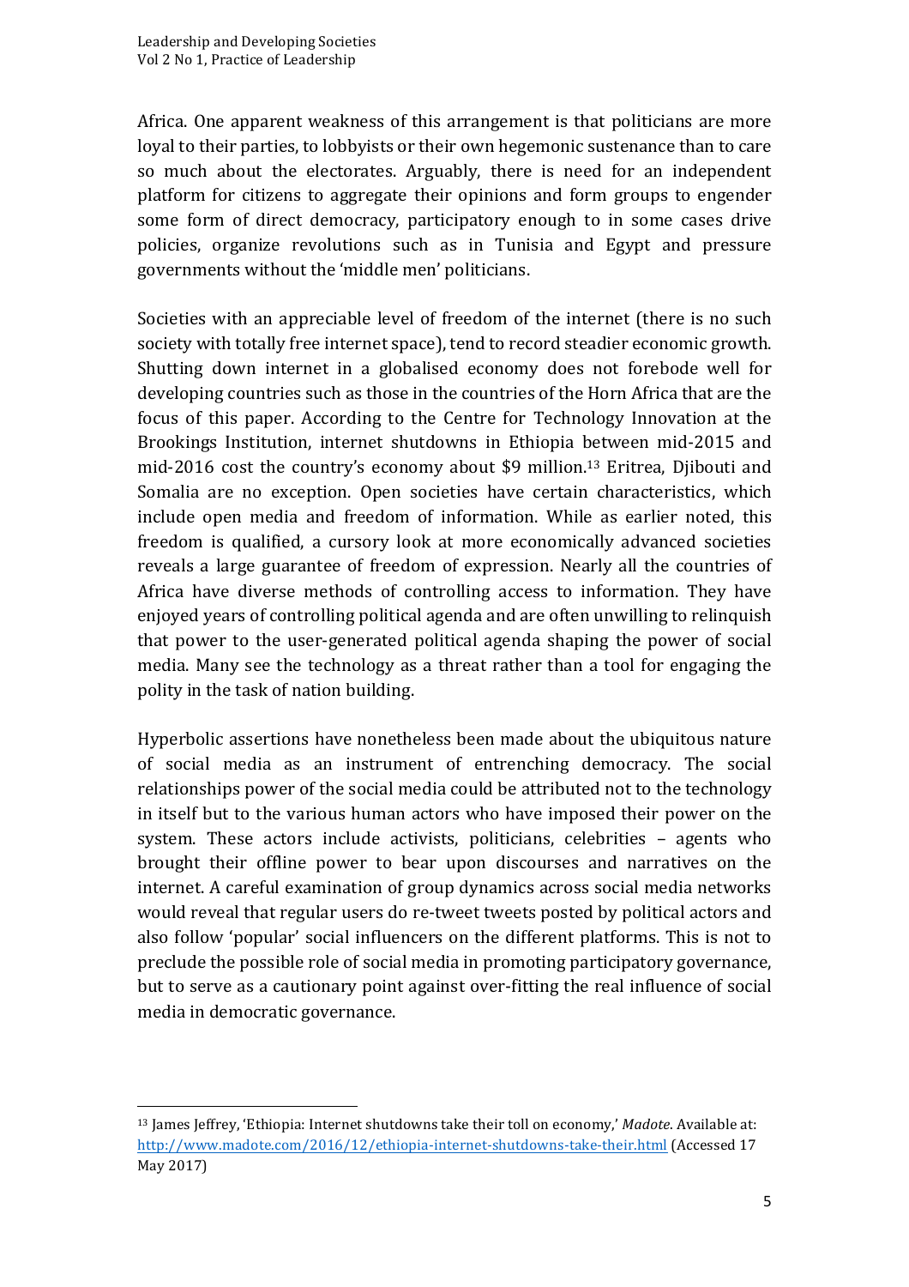Africa. One apparent weakness of this arrangement is that politicians are more loyal to their parties, to lobbyists or their own hegemonic sustenance than to care so much about the electorates. Arguably, there is need for an independent platform for citizens to aggregate their opinions and form groups to engender some form of direct democracy, participatory enough to in some cases drive policies, organize revolutions such as in Tunisia and Egypt and pressure governments without the 'middle men' politicians.

Societies with an appreciable level of freedom of the internet (there is no such society with totally free internet space), tend to record steadier economic growth. Shutting down internet in a globalised economy does not forebode well for developing countries such as those in the countries of the Horn Africa that are the focus of this paper. According to the Centre for Technology Innovation at the Brookings Institution, internet shutdowns in Ethiopia between mid-2015 and mid-2016 cost the country's economy about  $$9$  million.<sup>13</sup> Eritrea, Djibouti and Somalia are no exception. Open societies have certain characteristics, which include open media and freedom of information. While as earlier noted, this freedom is qualified, a cursory look at more economically advanced societies reveals a large guarantee of freedom of expression. Nearly all the countries of Africa have diverse methods of controlling access to information. They have enjoyed years of controlling political agenda and are often unwilling to relinquish that power to the user-generated political agenda shaping the power of social media. Many see the technology as a threat rather than a tool for engaging the polity in the task of nation building.

Hyperbolic assertions have nonetheless been made about the ubiquitous nature of social media as an instrument of entrenching democracy. The social relationships power of the social media could be attributed not to the technology in itself but to the various human actors who have imposed their power on the system. These actors include activists, politicians, celebrities - agents who brought their offline power to bear upon discourses and narratives on the internet. A careful examination of group dynamics across social media networks would reveal that regular users do re-tweet tweets posted by political actors and also follow 'popular' social influencers on the different platforms. This is not to preclude the possible role of social media in promoting participatory governance, but to serve as a cautionary point against over-fitting the real influence of social media in democratic governance.

<u> 1989 - Johann Barn, mars ann an t-Amhain an t-Amhain an t-Amhain an t-Amhain an t-Amhain an t-Amhain an t-Amh</u>

<sup>&</sup>lt;sup>13</sup> James Jeffrey, 'Ethiopia: Internet shutdowns take their toll on economy,' Madote. Available at: http://www.madote.com/2016/12/ethiopia-internet-shutdowns-take-their.html (Accessed 17 May 2017)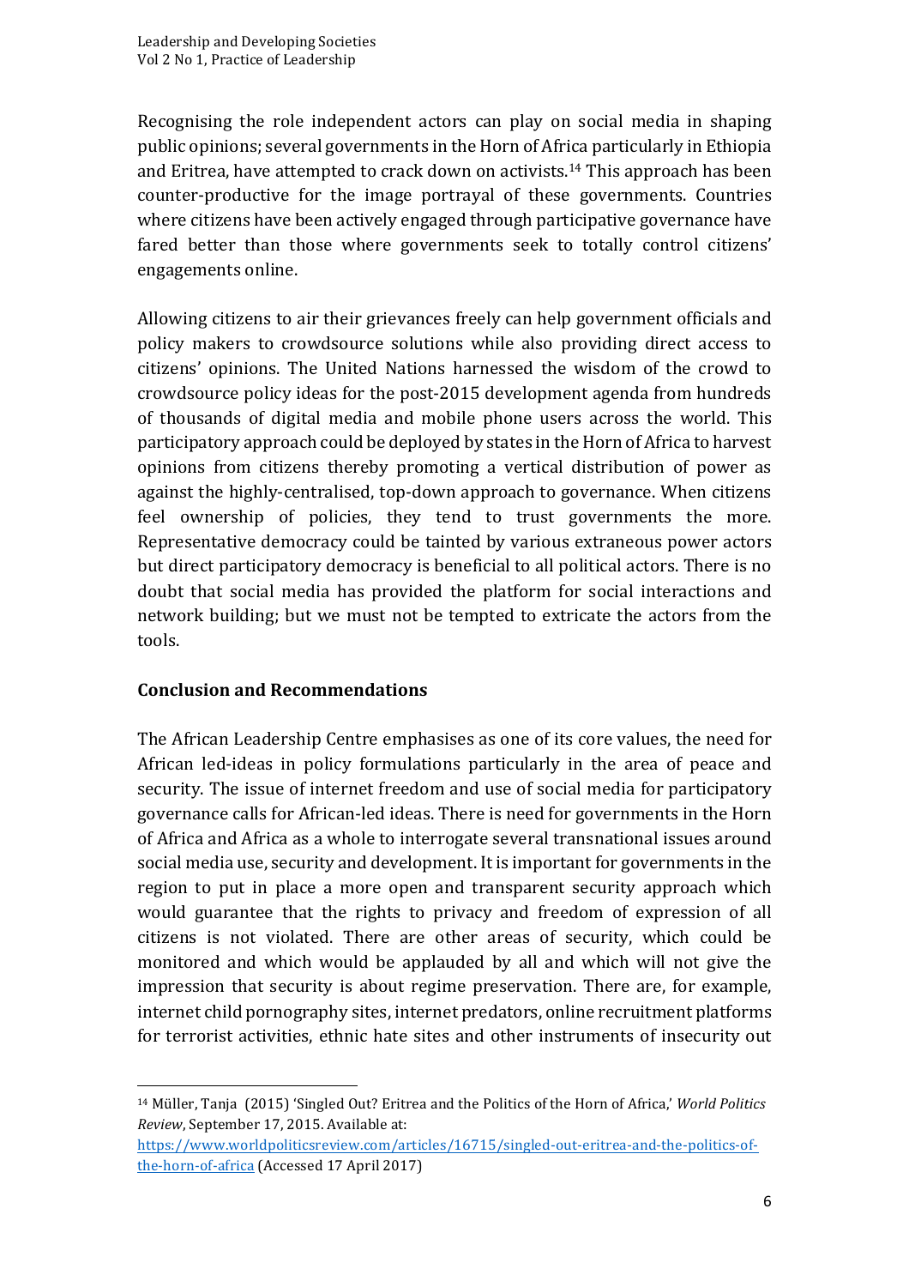Recognising the role independent actors can play on social media in shaping public opinions; several governments in the Horn of Africa particularly in Ethiopia and Eritrea, have attempted to crack down on activists.<sup>14</sup> This approach has been counter-productive for the image portrayal of these governments. Countries where citizens have been actively engaged through participative governance have fared better than those where governments seek to totally control citizens' engagements online. 

Allowing citizens to air their grievances freely can help government officials and policy makers to crowdsource solutions while also providing direct access to citizens' opinions. The United Nations harnessed the wisdom of the crowd to crowdsource policy ideas for the post-2015 development agenda from hundreds of thousands of digital media and mobile phone users across the world. This participatory approach could be deployed by states in the Horn of Africa to harvest opinions from citizens thereby promoting a vertical distribution of power as against the highly-centralised, top-down approach to governance. When citizens feel ownership of policies, they tend to trust governments the more. Representative democracy could be tainted by various extraneous power actors but direct participatory democracy is beneficial to all political actors. There is no doubt that social media has provided the platform for social interactions and network building; but we must not be tempted to extricate the actors from the tools. 

#### **Conclusion and Recommendations**

<u> 1989 - Johann Barn, mars ann an t-Amhain an t-Amhain an t-Amhain an t-Amhain an t-Amhain an t-Amhain an t-Amh</u>

The African Leadership Centre emphasises as one of its core values, the need for African led-ideas in policy formulations particularly in the area of peace and security. The issue of internet freedom and use of social media for participatory governance calls for African-led ideas. There is need for governments in the Horn of Africa and Africa as a whole to interrogate several transnational issues around social media use, security and development. It is important for governments in the region to put in place a more open and transparent security approach which would guarantee that the rights to privacy and freedom of expression of all citizens is not violated. There are other areas of security, which could be monitored and which would be applauded by all and which will not give the impression that security is about regime preservation. There are, for example, internet child pornography sites, internet predators, online recruitment platforms for terrorist activities, ethnic hate sites and other instruments of insecurity out

<sup>&</sup>lt;sup>14</sup> Müller, Tanja (2015) 'Singled Out? Eritrea and the Politics of the Horn of Africa,' *World Politics Review*, September 17, 2015. Available at:

https://www.worldpoliticsreview.com/articles/16715/singled-out-eritrea-and-the-politics-ofthe-horn-of-africa (Accessed 17 April 2017)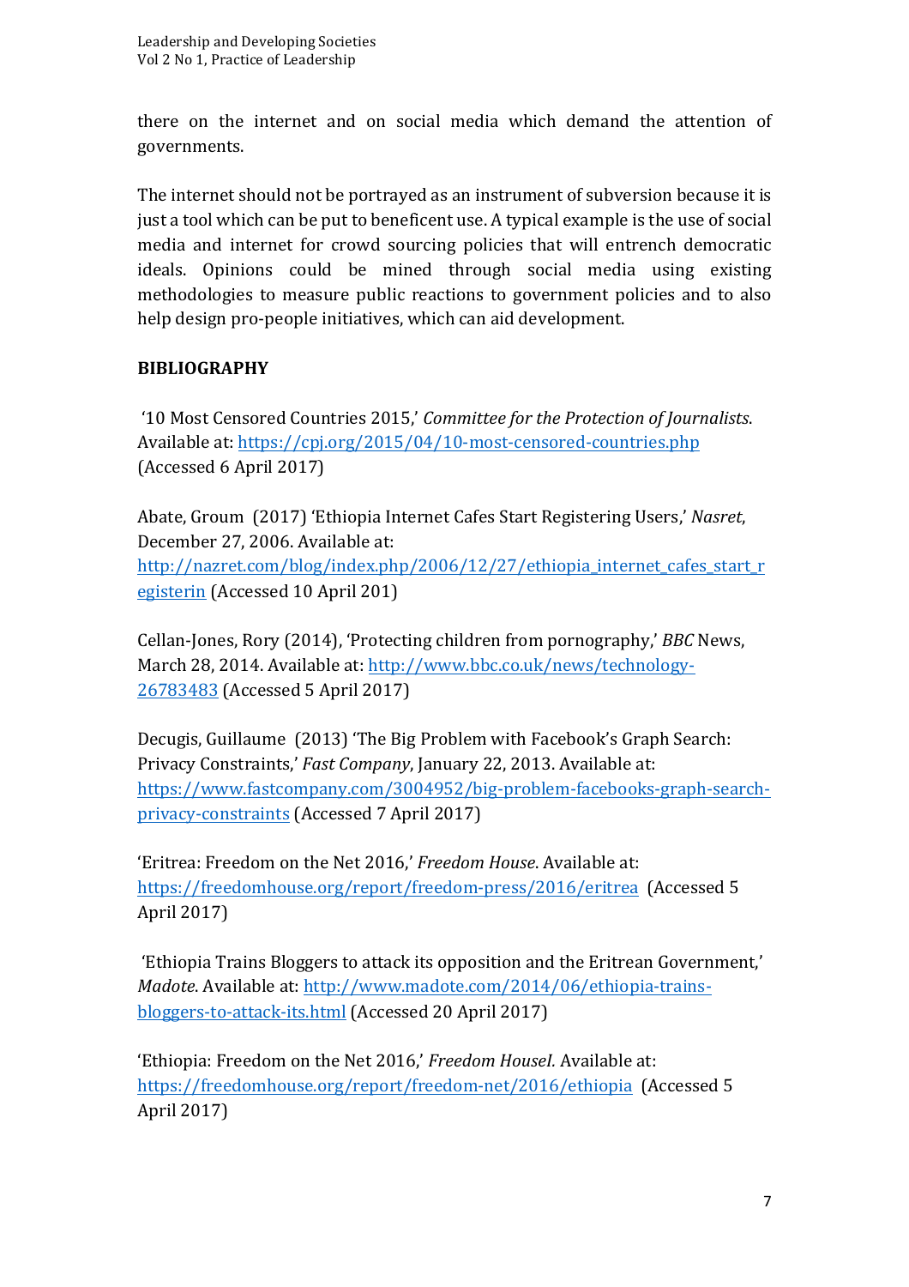there on the internet and on social media which demand the attention of governments. 

The internet should not be portrayed as an instrument of subversion because it is just a tool which can be put to beneficent use. A typical example is the use of social media and internet for crowd sourcing policies that will entrench democratic ideals. Opinions could be mined through social media using existing methodologies to measure public reactions to government policies and to also help design pro-people initiatives, which can aid development.

### **BIBLIOGRAPHY**

'10 Most Censored Countries 2015,' *Committee for the Protection of Journalists*. Available at: https://cpj.org/2015/04/10-most-censored-countries.php (Accessed 6 April 2017)

Abate, Groum (2017) 'Ethiopia Internet Cafes Start Registering Users,' *Nasret*, December 27, 2006. Available at: http://nazret.com/blog/index.php/2006/12/27/ethiopia internet cafes start r egisterin (Accessed 10 April 201)

Cellan-Jones, Rory (2014), 'Protecting children from pornography,' *BBC* News, March 28, 2014. Available at: http://www.bbc.co.uk/news/technology-26783483 (Accessed 5 April 2017)

Decugis, Guillaume (2013) 'The Big Problem with Facebook's Graph Search: Privacy Constraints,' *Fast Company*, January 22, 2013. Available at: https://www.fastcompany.com/3004952/big-problem-facebooks-graph-searchprivacy-constraints (Accessed 7 April 2017)

'Eritrea: Freedom on the Net 2016,' *Freedom House*. Available at: https://freedomhouse.org/report/freedom-press/2016/eritrea (Accessed 5) April 2017)

'Ethiopia Trains Bloggers to attack its opposition and the Eritrean Government,' *Madote*. Available at: http://www.madote.com/2014/06/ethiopia-trainsbloggers-to-attack-its.html (Accessed 20 April 2017)

'Ethiopia: Freedom on the Net 2016,' *Freedom Housel*. Available at: https://freedomhouse.org/report/freedom-net/2016/ethiopia (Accessed 5) April 2017)